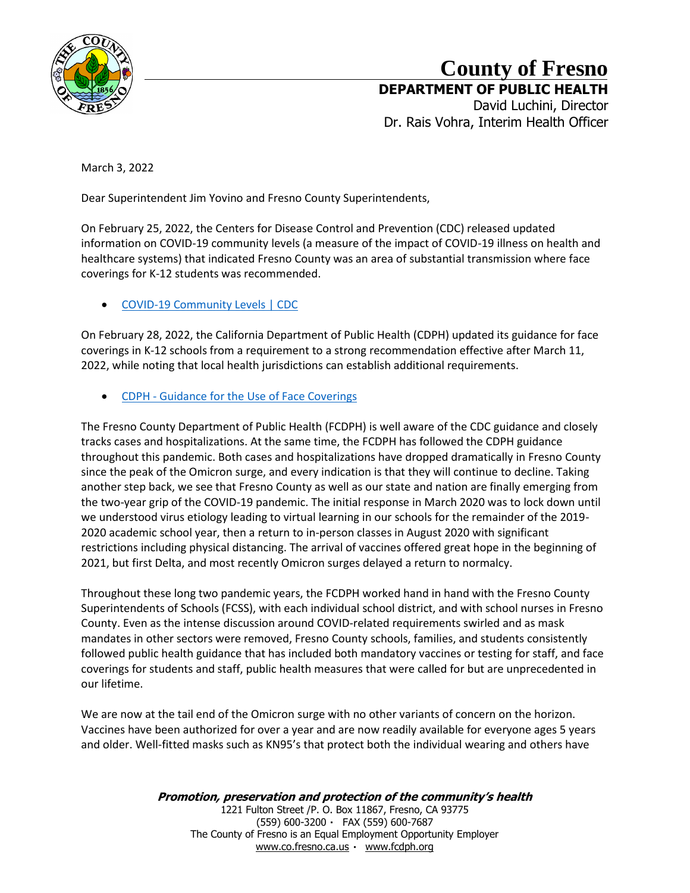

## **County of Fresno**

**DEPARTMENT OF PUBLIC HEALTH** David Luchini, Director

Dr. Rais Vohra, Interim Health Officer

March 3, 2022

Dear Superintendent Jim Yovino and Fresno County Superintendents,

On February 25, 2022, the Centers for Disease Control and Prevention (CDC) released updated information on COVID-19 community levels (a measure of the impact of COVID-19 illness on health and healthcare systems) that indicated Fresno County was an area of substantial transmission where face coverings for K-12 students was recommended.

• [COVID-19 Community Levels | CDC](https://www.cdc.gov/coronavirus/2019-ncov/science/community-levels.html?ACSTrackingID=USCDC_2145-DM76655&ACSTrackingLabel=02.25.2022+-+COVID-19+Data+Tracker+Weekly+Review&deliveryName=USCDC_2145-DM76655)

On February 28, 2022, the California Department of Public Health (CDPH) updated its guidance for face coverings in K-12 schools from a requirement to a strong recommendation effective after March 11, 2022, while noting that local health jurisdictions can establish additional requirements.

• CDPH - [Guidance for the Use of Face Coverings](https://www.cdph.ca.gov/Programs/CID/DCDC/Pages/COVID-19/guidance-for-face-coverings.aspx)

The Fresno County Department of Public Health (FCDPH) is well aware of the CDC guidance and closely tracks cases and hospitalizations. At the same time, the FCDPH has followed the CDPH guidance throughout this pandemic. Both cases and hospitalizations have dropped dramatically in Fresno County since the peak of the Omicron surge, and every indication is that they will continue to decline. Taking another step back, we see that Fresno County as well as our state and nation are finally emerging from the two-year grip of the COVID-19 pandemic. The initial response in March 2020 was to lock down until we understood virus etiology leading to virtual learning in our schools for the remainder of the 2019- 2020 academic school year, then a return to in-person classes in August 2020 with significant restrictions including physical distancing. The arrival of vaccines offered great hope in the beginning of 2021, but first Delta, and most recently Omicron surges delayed a return to normalcy.

Throughout these long two pandemic years, the FCDPH worked hand in hand with the Fresno County Superintendents of Schools (FCSS), with each individual school district, and with school nurses in Fresno County. Even as the intense discussion around COVID-related requirements swirled and as mask mandates in other sectors were removed, Fresno County schools, families, and students consistently followed public health guidance that has included both mandatory vaccines or testing for staff, and face coverings for students and staff, public health measures that were called for but are unprecedented in our lifetime.

We are now at the tail end of the Omicron surge with no other variants of concern on the horizon. Vaccines have been authorized for over a year and are now readily available for everyone ages 5 years and older. Well-fitted masks such as KN95's that protect both the individual wearing and others have

> **Promotion, preservation and protection of the community's health** 1221 Fulton Street /P. O. Box 11867, Fresno, CA 93775 (559) 600-3200 FAX (559) 600-7687 The County of Fresno is an Equal Employment Opportunity Employer [www.co.fresno.ca.us](http://www.co.fresno.ca.us/) [www.fcdph.org](http://www.fcdph.org/)